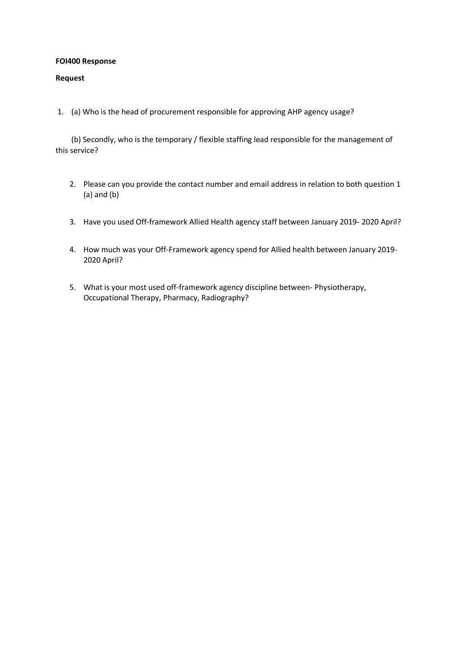### **FOI400 Response**

### **Request**

1. (a) Who is the head of procurement responsible for approving AHP agency usage?

(b) Secondly, who is the temporary / flexible staffing lead responsible for the management of this service?

- 2. Please can you provide the contact number and email address in relation to both question 1 (a) and (b)
- 3. Have you used Off-framework Allied Health agency staff between January 2019- 2020 April?
- 4. How much was your Off-Framework agency spend for Allied health between January 2019- 2020 April?
- 5. What is your most used off-framework agency discipline between- Physiotherapy, Occupational Therapy, Pharmacy, Radiography?